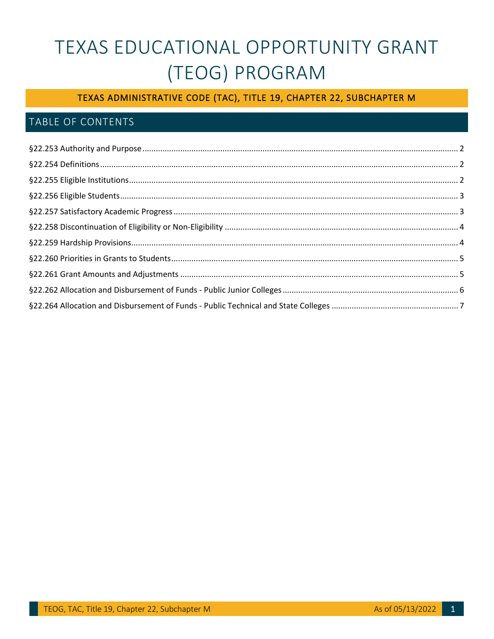# TEXAS EDUCATIONAL OPPORTUNITY GRANT (TEOG) PROGRAM

# TEXAS ADMINISTRATIVE CODE (TAC), TITLE 19, CHAPTER 22, SUBCHAPTER M

# TABLE OF CONTENTS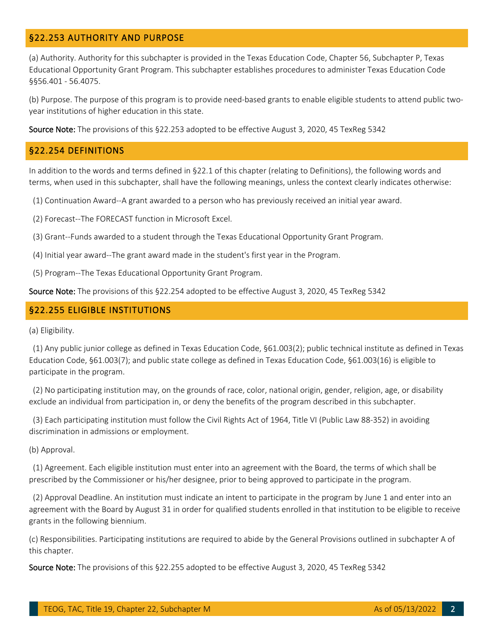# <span id="page-1-0"></span>§22.253 AUTHORITY AND PURPOSE

(a) Authority. Authority for this subchapter is provided in the Texas Education Code, Chapter 56, Subchapter P, Texas Educational Opportunity Grant Program. This subchapter establishes procedures to administer Texas Education Code §§56.401 - 56.4075.

(b) Purpose. The purpose of this program is to provide need-based grants to enable eligible students to attend public twoyear institutions of higher education in this state.

Source Note: The provisions of this §22.253 adopted to be effective August 3, 2020, 45 TexReg 5342

#### <span id="page-1-1"></span>§22.254 DEFINITIONS

In addition to the words and terms defined in §22.1 of this chapter (relating to Definitions), the following words and terms, when used in this subchapter, shall have the following meanings, unless the context clearly indicates otherwise:

(1) Continuation Award--A grant awarded to a person who has previously received an initial year award.

(2) Forecast--The FORECAST function in Microsoft Excel.

(3) Grant--Funds awarded to a student through the Texas Educational Opportunity Grant Program.

(4) Initial year award--The grant award made in the student's first year in the Program.

(5) Program--The Texas Educational Opportunity Grant Program.

Source Note: The provisions of this §22.254 adopted to be effective August 3, 2020, 45 TexReg 5342

#### <span id="page-1-2"></span>§22.255 ELIGIBLE INSTITUTIONS

(a) Eligibility.

(1) Any public junior college as defined in Texas Education Code, §61.003(2); public technical institute as defined in Texas Education Code, §61.003(7); and public state college as defined in Texas Education Code, §61.003(16) is eligible to participate in the program.

(2) No participating institution may, on the grounds of race, color, national origin, gender, religion, age, or disability exclude an individual from participation in, or deny the benefits of the program described in this subchapter.

(3) Each participating institution must follow the Civil Rights Act of 1964, Title VI (Public Law 88-352) in avoiding discrimination in admissions or employment.

(b) Approval.

(1) Agreement. Each eligible institution must enter into an agreement with the Board, the terms of which shall be prescribed by the Commissioner or his/her designee, prior to being approved to participate in the program.

 (2) Approval Deadline. An institution must indicate an intent to participate in the program by June 1 and enter into an agreement with the Board by August 31 in order for qualified students enrolled in that institution to be eligible to receive grants in the following biennium.

(c) Responsibilities. Participating institutions are required to abide by the General Provisions outlined in subchapter A of this chapter.

Source Note: The provisions of this §22.255 adopted to be effective August 3, 2020, 45 TexReg 5342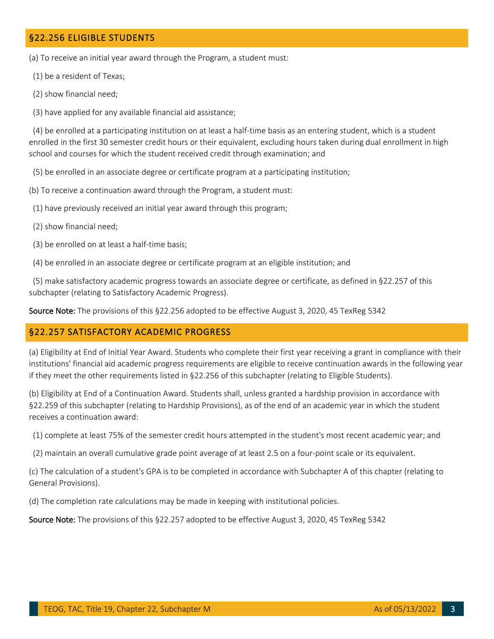# <span id="page-2-0"></span>§22.256 ELIGIBLE STUDENTS

(a) To receive an initial year award through the Program, a student must:

(1) be a resident of Texas;

(2) show financial need;

(3) have applied for any available financial aid assistance;

(4) be enrolled at a participating institution on at least a half-time basis as an entering student, which is a student enrolled in the first 30 semester credit hours or their equivalent, excluding hours taken during dual enrollment in high school and courses for which the student received credit through examination; and

(5) be enrolled in an associate degree or certificate program at a participating institution;

(b) To receive a continuation award through the Program, a student must:

(1) have previously received an initial year award through this program;

(2) show financial need;

(3) be enrolled on at least a half-time basis;

(4) be enrolled in an associate degree or certificate program at an eligible institution; and

(5) make satisfactory academic progress towards an associate degree or certificate, as defined in §22.257 of this subchapter (relating to Satisfactory Academic Progress).

Source Note: The provisions of this §22.256 adopted to be effective August 3, 2020, 45 TexReg 5342

#### <span id="page-2-1"></span>§22.257 SATISFACTORY ACADEMIC PROGRESS

(a) Eligibility at End of Initial Year Award. Students who complete their first year receiving a grant in compliance with their institutions' financial aid academic progress requirements are eligible to receive continuation awards in the following year if they meet the other requirements listed in §22.256 of this subchapter (relating to Eligible Students).

(b) Eligibility at End of a Continuation Award. Students shall, unless granted a hardship provision in accordance with §22.259 of this subchapter (relating to Hardship Provisions), as of the end of an academic year in which the student receives a continuation award:

(1) complete at least 75% of the semester credit hours attempted in the student's most recent academic year; and

(2) maintain an overall cumulative grade point average of at least 2.5 on a four-point scale or its equivalent.

(c) The calculation of a student's GPA is to be completed in accordance with Subchapter A of this chapter (relating to General Provisions).

(d) The completion rate calculations may be made in keeping with institutional policies.

Source Note: The provisions of this §22.257 adopted to be effective August 3, 2020, 45 TexReg 5342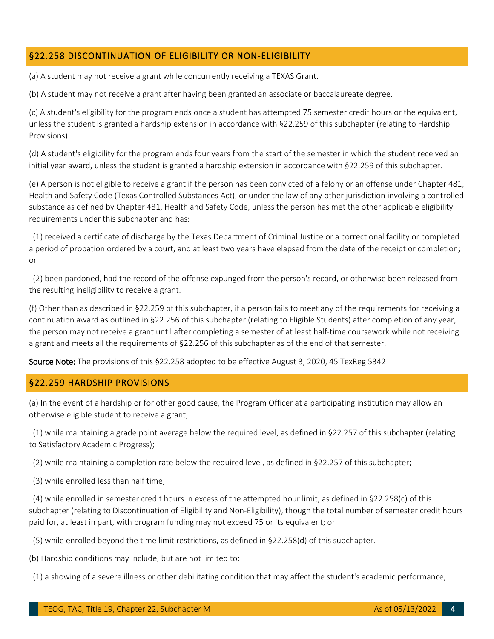# <span id="page-3-0"></span>§22.258 DISCONTINUATION OF ELIGIBILITY OR NON-ELIGIBILITY

(a) A student may not receive a grant while concurrently receiving a TEXAS Grant.

(b) A student may not receive a grant after having been granted an associate or baccalaureate degree.

(c) A student's eligibility for the program ends once a student has attempted 75 semester credit hours or the equivalent, unless the student is granted a hardship extension in accordance with §22.259 of this subchapter (relating to Hardship Provisions).

(d) A student's eligibility for the program ends four years from the start of the semester in which the student received an initial year award, unless the student is granted a hardship extension in accordance with §22.259 of this subchapter.

(e) A person is not eligible to receive a grant if the person has been convicted of a felony or an offense under Chapter 481, Health and Safety Code (Texas Controlled Substances Act), or under the law of any other jurisdiction involving a controlled substance as defined by Chapter 481, Health and Safety Code, unless the person has met the other applicable eligibility requirements under this subchapter and has:

(1) received a certificate of discharge by the Texas Department of Criminal Justice or a correctional facility or completed a period of probation ordered by a court, and at least two years have elapsed from the date of the receipt or completion; or

(2) been pardoned, had the record of the offense expunged from the person's record, or otherwise been released from the resulting ineligibility to receive a grant.

(f) Other than as described in §22.259 of this subchapter, if a person fails to meet any of the requirements for receiving a continuation award as outlined in §22.256 of this subchapter (relating to Eligible Students) after completion of any year, the person may not receive a grant until after completing a semester of at least half-time coursework while not receiving a grant and meets all the requirements of §22.256 of this subchapter as of the end of that semester.

Source Note: The provisions of this §22.258 adopted to be effective August 3, 2020, 45 TexReg 5342

#### <span id="page-3-1"></span>§22.259 HARDSHIP PROVISIONS

(a) In the event of a hardship or for other good cause, the Program Officer at a participating institution may allow an otherwise eligible student to receive a grant;

(1) while maintaining a grade point average below the required level, as defined in §22.257 of this subchapter (relating to Satisfactory Academic Progress);

(2) while maintaining a completion rate below the required level, as defined in §22.257 of this subchapter;

(3) while enrolled less than half time;

(4) while enrolled in semester credit hours in excess of the attempted hour limit, as defined in §22.258(c) of this subchapter (relating to Discontinuation of Eligibility and Non-Eligibility), though the total number of semester credit hours paid for, at least in part, with program funding may not exceed 75 or its equivalent; or

(5) while enrolled beyond the time limit restrictions, as defined in §22.258(d) of this subchapter.

(b) Hardship conditions may include, but are not limited to:

(1) a showing of a severe illness or other debilitating condition that may affect the student's academic performance;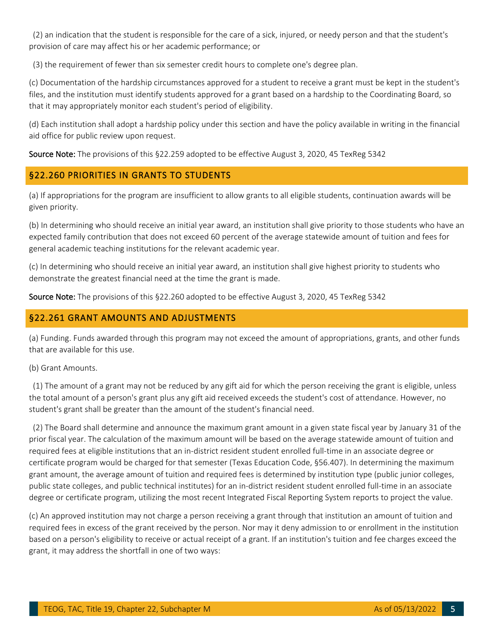(2) an indication that the student is responsible for the care of a sick, injured, or needy person and that the student's provision of care may affect his or her academic performance; or

(3) the requirement of fewer than six semester credit hours to complete one's degree plan.

(c) Documentation of the hardship circumstances approved for a student to receive a grant must be kept in the student's files, and the institution must identify students approved for a grant based on a hardship to the Coordinating Board, so that it may appropriately monitor each student's period of eligibility.

(d) Each institution shall adopt a hardship policy under this section and have the policy available in writing in the financial aid office for public review upon request.

Source Note: The provisions of this §22.259 adopted to be effective August 3, 2020, 45 TexReg 5342

### <span id="page-4-0"></span>§22.260 PRIORITIES IN GRANTS TO STUDENTS

(a) If appropriations for the program are insufficient to allow grants to all eligible students, continuation awards will be given priority.

(b) In determining who should receive an initial year award, an institution shall give priority to those students who have an expected family contribution that does not exceed 60 percent of the average statewide amount of tuition and fees for general academic teaching institutions for the relevant academic year.

(c) In determining who should receive an initial year award, an institution shall give highest priority to students who demonstrate the greatest financial need at the time the grant is made.

Source Note: The provisions of this §22.260 adopted to be effective August 3, 2020, 45 TexReg 5342

# <span id="page-4-1"></span>§22.261 GRANT AMOUNTS AND ADJUSTMENTS

(a) Funding. Funds awarded through this program may not exceed the amount of appropriations, grants, and other funds that are available for this use.

(b) Grant Amounts.

 (1) The amount of a grant may not be reduced by any gift aid for which the person receiving the grant is eligible, unless the total amount of a person's grant plus any gift aid received exceeds the student's cost of attendance. However, no student's grant shall be greater than the amount of the student's financial need.

(2) The Board shall determine and announce the maximum grant amount in a given state fiscal year by January 31 of the prior fiscal year. The calculation of the maximum amount will be based on the average statewide amount of tuition and required fees at eligible institutions that an in-district resident student enrolled full-time in an associate degree or certificate program would be charged for that semester (Texas Education Code, §56.407). In determining the maximum grant amount, the average amount of tuition and required fees is determined by institution type (public junior colleges, public state colleges, and public technical institutes) for an in-district resident student enrolled full-time in an associate degree or certificate program, utilizing the most recent Integrated Fiscal Reporting System reports to project the value.

(c) An approved institution may not charge a person receiving a grant through that institution an amount of tuition and required fees in excess of the grant received by the person. Nor may it deny admission to or enrollment in the institution based on a person's eligibility to receive or actual receipt of a grant. If an institution's tuition and fee charges exceed the grant, it may address the shortfall in one of two ways: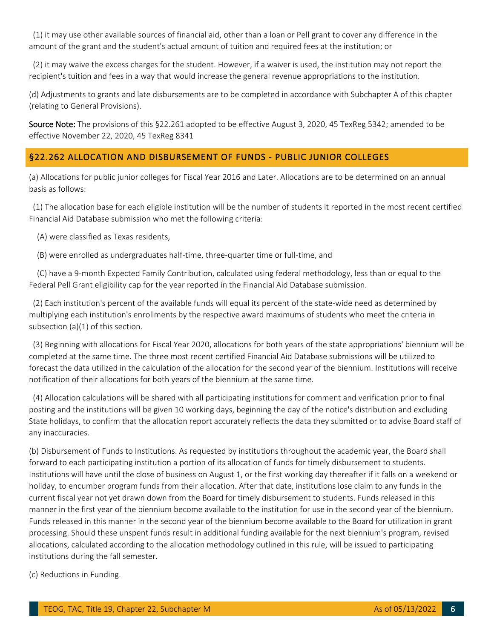(1) it may use other available sources of financial aid, other than a loan or Pell grant to cover any difference in the amount of the grant and the student's actual amount of tuition and required fees at the institution; or

(2) it may waive the excess charges for the student. However, if a waiver is used, the institution may not report the recipient's tuition and fees in a way that would increase the general revenue appropriations to the institution.

(d) Adjustments to grants and late disbursements are to be completed in accordance with Subchapter A of this chapter (relating to General Provisions).

Source Note: The provisions of this §22.261 adopted to be effective August 3, 2020, 45 TexReg 5342; amended to be effective November 22, 2020, 45 TexReg 8341

# <span id="page-5-0"></span>§22.262 ALLOCATION AND DISBURSEMENT OF FUNDS - PUBLIC JUNIOR COLLEGES

(a) Allocations for public junior colleges for Fiscal Year 2016 and Later. Allocations are to be determined on an annual basis as follows:

(1) The allocation base for each eligible institution will be the number of students it reported in the most recent certified Financial Aid Database submission who met the following criteria:

(A) were classified as Texas residents,

(B) were enrolled as undergraduates half-time, three-quarter time or full-time, and

 (C) have a 9-month Expected Family Contribution, calculated using federal methodology, less than or equal to the Federal Pell Grant eligibility cap for the year reported in the Financial Aid Database submission.

(2) Each institution's percent of the available funds will equal its percent of the state-wide need as determined by multiplying each institution's enrollments by the respective award maximums of students who meet the criteria in subsection (a)(1) of this section.

(3) Beginning with allocations for Fiscal Year 2020, allocations for both years of the state appropriations' biennium will be completed at the same time. The three most recent certified Financial Aid Database submissions will be utilized to forecast the data utilized in the calculation of the allocation for the second year of the biennium. Institutions will receive notification of their allocations for both years of the biennium at the same time.

(4) Allocation calculations will be shared with all participating institutions for comment and verification prior to final posting and the institutions will be given 10 working days, beginning the day of the notice's distribution and excluding State holidays, to confirm that the allocation report accurately reflects the data they submitted or to advise Board staff of any inaccuracies.

(b) Disbursement of Funds to Institutions. As requested by institutions throughout the academic year, the Board shall forward to each participating institution a portion of its allocation of funds for timely disbursement to students. Institutions will have until the close of business on August 1, or the first working day thereafter if it falls on a weekend or holiday, to encumber program funds from their allocation. After that date, institutions lose claim to any funds in the current fiscal year not yet drawn down from the Board for timely disbursement to students. Funds released in this manner in the first year of the biennium become available to the institution for use in the second year of the biennium. Funds released in this manner in the second year of the biennium become available to the Board for utilization in grant processing. Should these unspent funds result in additional funding available for the next biennium's program, revised allocations, calculated according to the allocation methodology outlined in this rule, will be issued to participating institutions during the fall semester.

(c) Reductions in Funding.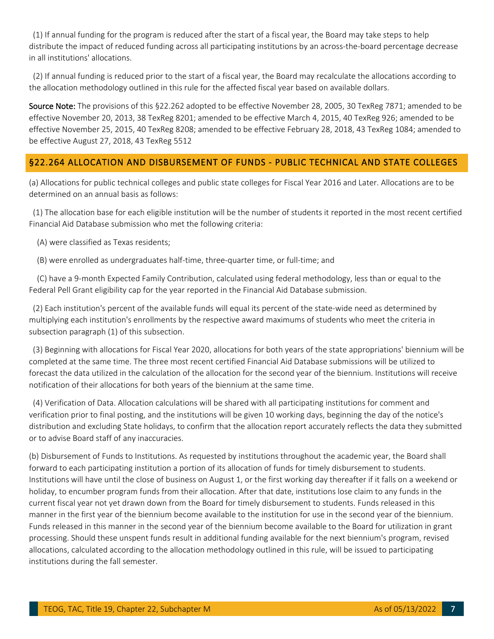(1) If annual funding for the program is reduced after the start of a fiscal year, the Board may take steps to help distribute the impact of reduced funding across all participating institutions by an across-the-board percentage decrease in all institutions' allocations.

(2) If annual funding is reduced prior to the start of a fiscal year, the Board may recalculate the allocations according to the allocation methodology outlined in this rule for the affected fiscal year based on available dollars.

Source Note: The provisions of this §22.262 adopted to be effective November 28, 2005, 30 TexReg 7871; amended to be effective November 20, 2013, 38 TexReg 8201; amended to be effective March 4, 2015, 40 TexReg 926; amended to be effective November 25, 2015, 40 TexReg 8208; amended to be effective February 28, 2018, 43 TexReg 1084; amended to be effective August 27, 2018, 43 TexReg 5512

# <span id="page-6-0"></span>§22.264 ALLOCATION AND DISBURSEMENT OF FUNDS - PUBLIC TECHNICAL AND STATE COLLEGES

(a) Allocations for public technical colleges and public state colleges for Fiscal Year 2016 and Later. Allocations are to be determined on an annual basis as follows:

(1) The allocation base for each eligible institution will be the number of students it reported in the most recent certified Financial Aid Database submission who met the following criteria:

- (A) were classified as Texas residents;
- (B) were enrolled as undergraduates half-time, three-quarter time, or full-time; and

 (C) have a 9-month Expected Family Contribution, calculated using federal methodology, less than or equal to the Federal Pell Grant eligibility cap for the year reported in the Financial Aid Database submission.

(2) Each institution's percent of the available funds will equal its percent of the state-wide need as determined by multiplying each institution's enrollments by the respective award maximums of students who meet the criteria in subsection paragraph (1) of this subsection.

(3) Beginning with allocations for Fiscal Year 2020, allocations for both years of the state appropriations' biennium will be completed at the same time. The three most recent certified Financial Aid Database submissions will be utilized to forecast the data utilized in the calculation of the allocation for the second year of the biennium. Institutions will receive notification of their allocations for both years of the biennium at the same time.

(4) Verification of Data. Allocation calculations will be shared with all participating institutions for comment and verification prior to final posting, and the institutions will be given 10 working days, beginning the day of the notice's distribution and excluding State holidays, to confirm that the allocation report accurately reflects the data they submitted or to advise Board staff of any inaccuracies.

(b) Disbursement of Funds to Institutions. As requested by institutions throughout the academic year, the Board shall forward to each participating institution a portion of its allocation of funds for timely disbursement to students. Institutions will have until the close of business on August 1, or the first working day thereafter if it falls on a weekend or holiday, to encumber program funds from their allocation. After that date, institutions lose claim to any funds in the current fiscal year not yet drawn down from the Board for timely disbursement to students. Funds released in this manner in the first year of the biennium become available to the institution for use in the second year of the biennium. Funds released in this manner in the second year of the biennium become available to the Board for utilization in grant processing. Should these unspent funds result in additional funding available for the next biennium's program, revised allocations, calculated according to the allocation methodology outlined in this rule, will be issued to participating institutions during the fall semester.